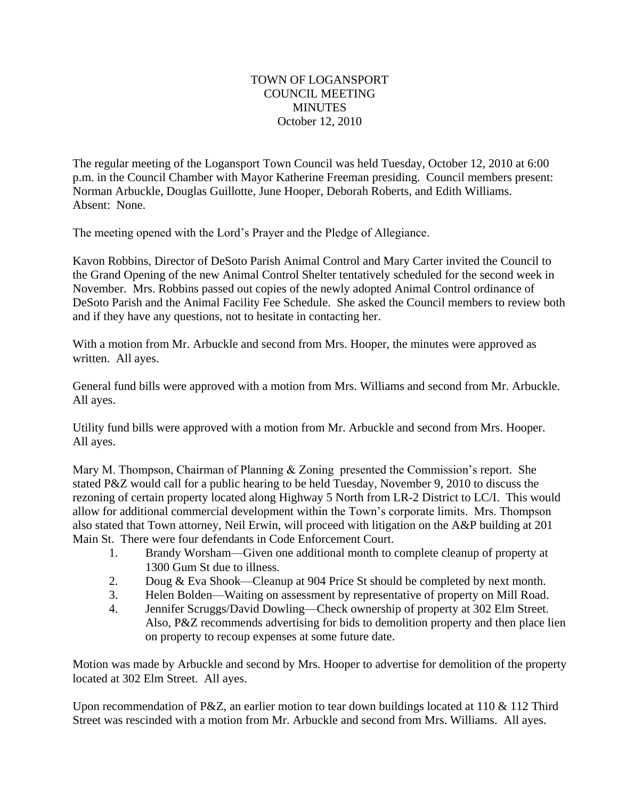## TOWN OF LOGANSPORT COUNCIL MEETING MINUTES October 12, 2010

The regular meeting of the Logansport Town Council was held Tuesday, October 12, 2010 at 6:00 p.m. in the Council Chamber with Mayor Katherine Freeman presiding. Council members present: Norman Arbuckle, Douglas Guillotte, June Hooper, Deborah Roberts, and Edith Williams. Absent: None.

The meeting opened with the Lord's Prayer and the Pledge of Allegiance.

Kavon Robbins, Director of DeSoto Parish Animal Control and Mary Carter invited the Council to the Grand Opening of the new Animal Control Shelter tentatively scheduled for the second week in November. Mrs. Robbins passed out copies of the newly adopted Animal Control ordinance of DeSoto Parish and the Animal Facility Fee Schedule. She asked the Council members to review both and if they have any questions, not to hesitate in contacting her.

With a motion from Mr. Arbuckle and second from Mrs. Hooper, the minutes were approved as written. All ayes.

General fund bills were approved with a motion from Mrs. Williams and second from Mr. Arbuckle. All ayes.

Utility fund bills were approved with a motion from Mr. Arbuckle and second from Mrs. Hooper. All ayes.

Mary M. Thompson, Chairman of Planning & Zoning presented the Commission's report. She stated P&Z would call for a public hearing to be held Tuesday, November 9, 2010 to discuss the rezoning of certain property located along Highway 5 North from LR-2 District to LC/I. This would allow for additional commercial development within the Town's corporate limits. Mrs. Thompson also stated that Town attorney, Neil Erwin, will proceed with litigation on the A&P building at 201 Main St. There were four defendants in Code Enforcement Court.

- 1. Brandy Worsham—Given one additional month to complete cleanup of property at 1300 Gum St due to illness.
- 2. Doug & Eva Shook—Cleanup at 904 Price St should be completed by next month.
- 3. Helen Bolden—Waiting on assessment by representative of property on Mill Road.
- 4. Jennifer Scruggs/David Dowling—Check ownership of property at 302 Elm Street. Also, P&Z recommends advertising for bids to demolition property and then place lien on property to recoup expenses at some future date.

Motion was made by Arbuckle and second by Mrs. Hooper to advertise for demolition of the property located at 302 Elm Street. All ayes.

Upon recommendation of P&Z, an earlier motion to tear down buildings located at 110 & 112 Third Street was rescinded with a motion from Mr. Arbuckle and second from Mrs. Williams. All ayes.